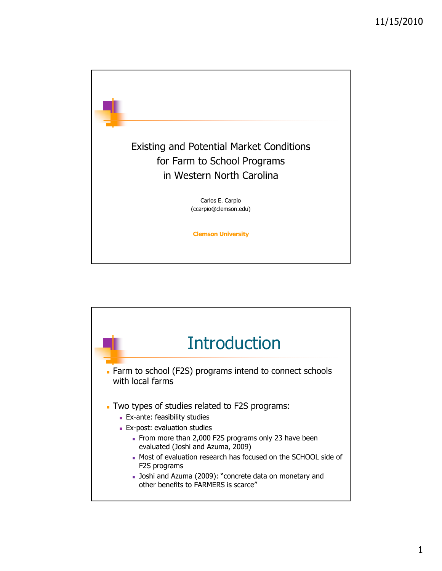

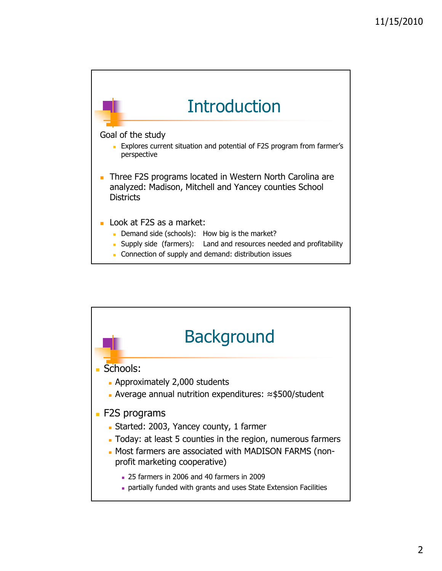

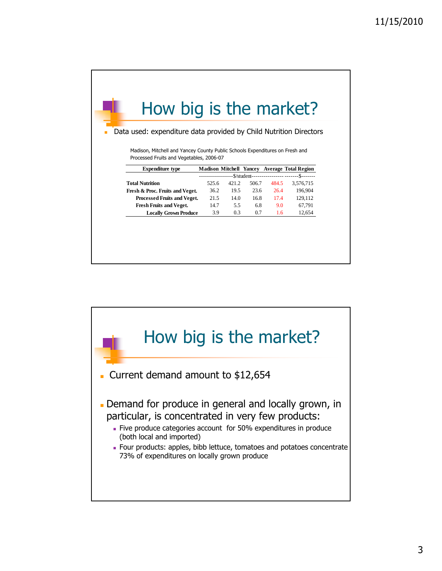| How big is the market?                                                       |       |       |       |                                 |                                              |  |
|------------------------------------------------------------------------------|-------|-------|-------|---------------------------------|----------------------------------------------|--|
| Data used: expenditure data provided by Child Nutrition Directors            |       |       |       |                                 |                                              |  |
|                                                                              |       |       |       |                                 |                                              |  |
| Madison, Mitchell and Yancey County Public Schools Expenditures on Fresh and |       |       |       |                                 |                                              |  |
|                                                                              |       |       |       |                                 |                                              |  |
| Processed Fruits and Vegetables, 2006-07                                     |       |       |       |                                 |                                              |  |
| <b>Expenditure type</b>                                                      |       |       |       |                                 | Madison Mitchell Yancey Average Total Region |  |
|                                                                              |       |       |       | --\$/student------------------- | --\$-------                                  |  |
| <b>Total Nutrition</b>                                                       | 525.6 | 421.2 | 506.7 | 484.5                           | 3,576,715                                    |  |
| Fresh & Proc. Fruits and Veget.                                              | 36.2  | 19.5  | 23.6  | 26.4                            | 196.904                                      |  |
| Processed Fruits and Veget.                                                  | 21.5  | 14.0  | 16.8  | 17.4                            | 129,112                                      |  |
| <b>Fresh Fruits and Veget.</b>                                               | 14.7  | 5.5   | 6.8   | 9.0                             | 67,791                                       |  |

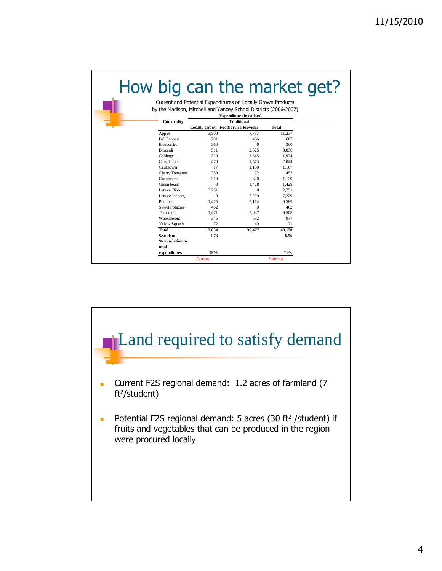|                        | by the Madison, Mitchell and Yancey School Districts (2006-2007) |                                           |              |  |  |  |  |  |
|------------------------|------------------------------------------------------------------|-------------------------------------------|--------------|--|--|--|--|--|
|                        |                                                                  | <b>Expenditure (in dollars)</b>           |              |  |  |  |  |  |
| Commodity              |                                                                  | <b>Traditional</b>                        |              |  |  |  |  |  |
|                        |                                                                  | <b>Locally Grown Foodservice Provider</b> | <b>Total</b> |  |  |  |  |  |
| Apples                 | 3,500                                                            | 7.737                                     | 11,237       |  |  |  |  |  |
| <b>Bell Peppers</b>    | 201                                                              | 466                                       | 667          |  |  |  |  |  |
| <b>Blueberries</b>     | 360                                                              | $\Omega$                                  | 360          |  |  |  |  |  |
| Broccoli               | 511                                                              | 2.525                                     | 3.036        |  |  |  |  |  |
| Cabbage                | 329                                                              | 1.645                                     | 1.974        |  |  |  |  |  |
| Cantaloupe             | 470                                                              | 1,573                                     | 2,044        |  |  |  |  |  |
| Cauliflower            | 17                                                               | 1.150                                     | 1.167        |  |  |  |  |  |
| <b>Cherry Tomatoes</b> | 380                                                              | 72                                        | 452          |  |  |  |  |  |
| Cucumbers              | 310                                                              | 820                                       | 1.129        |  |  |  |  |  |
| Green beans            | $\Omega$                                                         | 1.428                                     | 1.428        |  |  |  |  |  |
| Lettuce Bibb           | 2.751                                                            | $\Omega$                                  | 2,751        |  |  |  |  |  |
| Lettuce Iceberg        | $\Omega$                                                         | 7.229                                     | 7.229        |  |  |  |  |  |
| Potatoes               | 1.475                                                            | 5.114                                     | 6.589        |  |  |  |  |  |
| <b>Sweet Potatoes</b>  | 462                                                              | $\Omega$                                  | 462          |  |  |  |  |  |
| Tomatoes               | 1.471                                                            | 5.037                                     | 6.508        |  |  |  |  |  |
| Watermelons            | 345                                                              | 632                                       | 977          |  |  |  |  |  |
| Yellow Squash          | 72                                                               | 49                                        | 121          |  |  |  |  |  |
| <b>Total</b>           | 12,654                                                           | 35,477                                    | 48,130       |  |  |  |  |  |
| \$/student             | 1.73                                                             |                                           | 6.56         |  |  |  |  |  |
| % in relation to       |                                                                  |                                           |              |  |  |  |  |  |
| total                  |                                                                  |                                           |              |  |  |  |  |  |
| expenditures           | 19%                                                              |                                           | 71%          |  |  |  |  |  |

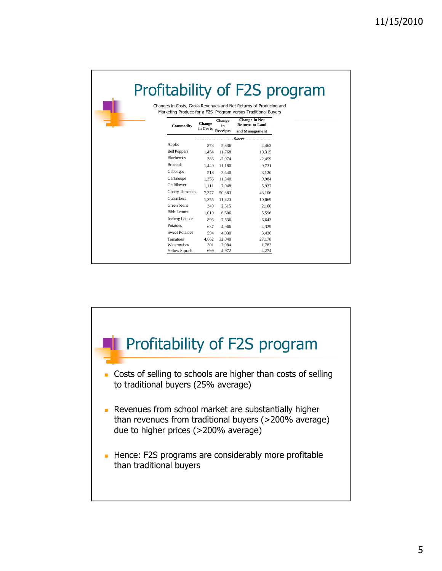| Changes in Costs, Gross Revenues and Net Returns of Producing and |               |                     |                                                                                                                 |  |
|-------------------------------------------------------------------|---------------|---------------------|-----------------------------------------------------------------------------------------------------------------|--|
|                                                                   |               |                     |                                                                                                                 |  |
| Commodity                                                         | <b>Change</b> | <b>Change</b><br>in | Marketing Produce for a F2S Program versus Traditional Buyers<br><b>Change in Net</b><br><b>Returns to Land</b> |  |
|                                                                   | in Costs      | Receipts            | and Management                                                                                                  |  |
|                                                                   |               |                     |                                                                                                                 |  |
| Apples                                                            | 873           | 5,336               | 4.463                                                                                                           |  |
| <b>Bell Peppers</b>                                               | 1.454         | 11,768              | 10.315                                                                                                          |  |
| <b>Blueberries</b>                                                | 386           | $-2.074$            | $-2.459$                                                                                                        |  |
| <b>Broccoli</b>                                                   | 1.449         | 11.180              | 9.731                                                                                                           |  |
| Cabbages                                                          | 518           | 3.640               | 3.120                                                                                                           |  |
| Cantaloupe                                                        | 1.356         | 11.340              | 9.984                                                                                                           |  |
| Cauliflower                                                       | 1.111         | 7.048               | 5.937                                                                                                           |  |
| <b>Cherry Tomatoes</b>                                            | 7.277         | 50,383              | 43,106                                                                                                          |  |
| Cucumbers                                                         | 1.355         | 11.423              | 10.069                                                                                                          |  |
| Green beans                                                       | 349           | 2.515               | 2,166                                                                                                           |  |
| <b>Bibb Lettuce</b>                                               | 1.010         | 6.606               | 5.596                                                                                                           |  |
| Iceberg Lettuce                                                   | 893           | 7.536               | 6.643                                                                                                           |  |
| Potatoes                                                          | 637           | 4.966               | 4,329                                                                                                           |  |
| <b>Sweet Potatoes</b>                                             | 594           | 4.030               | 3.436                                                                                                           |  |
| <b>Tomatoes</b>                                                   | 4,862         | 32,040              | 27,178                                                                                                          |  |
| Watermelons                                                       | 301           | 2.084               | 1.783                                                                                                           |  |
| Yellow Squash                                                     | 699           | 4,972               | 4,274                                                                                                           |  |